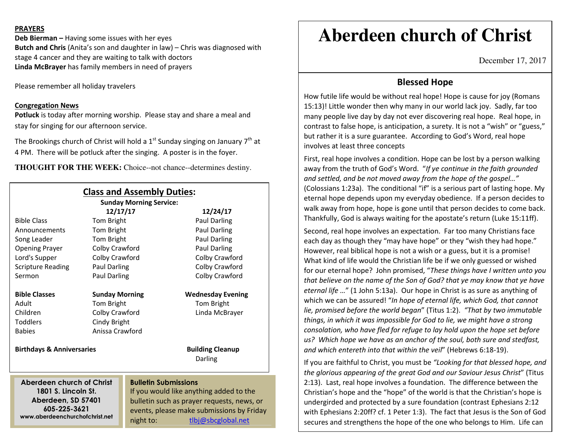#### **PRAYERS**

**Deb Bierman –** Having some issues with her eyes **Butch and Chris** (Anita's son and daughter in law) – Chris was diagnosed with stage 4 cancer and they are waiting to talk with doctors **Linda McBrayer** has family members in need of prayers

Please remember all holiday travelers

#### **Congregation News**

 **Potluck** is today after morning worship. Please stay and share a meal and stay for singing for our afternoon service.

The Brookings church of Christ will hold a  $1<sup>st</sup>$  Sunday singing on January  $7<sup>th</sup>$  at 4 PM. There will be potluck after the singing. A poster is in the foyer.

**THOUGHT FOR THE WEEK:** Choice--not chance--determines destiny.

| <b>Class and Assembly Duties:</b><br><b>Sunday Morning Service:</b>    |                       |                                                                                                                      |                                    |
|------------------------------------------------------------------------|-----------------------|----------------------------------------------------------------------------------------------------------------------|------------------------------------|
|                                                                        | 12/17/17              |                                                                                                                      | 12/24/17                           |
| <b>Bible Class</b>                                                     | Tom Bright            |                                                                                                                      | Paul Darling                       |
| Announcements                                                          | Tom Bright            |                                                                                                                      | Paul Darling                       |
| Song Leader                                                            | Tom Bright            |                                                                                                                      | Paul Darling                       |
| <b>Opening Prayer</b>                                                  | Colby Crawford        |                                                                                                                      | Paul Darling                       |
| Lord's Supper                                                          | Colby Crawford        |                                                                                                                      | Colby Crawford                     |
| <b>Scripture Reading</b>                                               | Paul Darling          |                                                                                                                      | Colby Crawford                     |
| Sermon                                                                 | Paul Darling          |                                                                                                                      | Colby Crawford                     |
| <b>Bible Classes</b>                                                   | <b>Sunday Morning</b> |                                                                                                                      | <b>Wednesday Evening</b>           |
| Adult                                                                  | Tom Bright            |                                                                                                                      | Tom Bright                         |
| Children                                                               | Colby Crawford        |                                                                                                                      | Linda McBrayer                     |
| <b>Toddlers</b>                                                        | Cindy Bright          |                                                                                                                      |                                    |
| <b>Babies</b>                                                          | Anissa Crawford       |                                                                                                                      |                                    |
| <b>Birthdays &amp; Anniversaries</b>                                   |                       |                                                                                                                      | <b>Building Cleanup</b><br>Darling |
| Aberdeen church of Christ<br>1801 S. Lincoln St.<br>Aberdeen, SD 57401 |                       | <b>Bulletin Submissions</b><br>If you would like anything added to the<br>bulletin such as prayer requests, news, or |                                    |
| 605-225-3621                                                           |                       | events, please make submissions by Friday                                                                            |                                    |
| www.aberdeenchurchofchrist.net                                         |                       |                                                                                                                      |                                    |

night to: tlbj@sbcglobal.net

# **Aberdeen church of Christ**

December 17, 2017

### **Blessed Hope**

How futile life would be without real hope! Hope is cause for joy (Romans 15:13)! Little wonder then why many in our world lack joy. Sadly, far too many people live day by day not ever discovering real hope. Real hope, in contrast to false hope, is anticipation, a surety. It is not a "wish" or "guess," but rather it is a sure guarantee. According to God's Word, real hope involves at least three concepts

First, real hope involves a condition. Hope can be lost by a person walking away from the truth of God's Word. "*If ye continue in the faith grounded and settled, and be not moved away from the hope of the gospel…"* (Colossians 1:23a). The conditional "if" is a serious part of lasting hope. My eternal hope depends upon my everyday obedience. If a person decides to walk away from hope, hope is gone until that person decides to come back. Thankfully, God is always waiting for the apostate's return (Luke 15:11ff).

Second, real hope involves an expectation. Far too many Christians face each day as though they "may have hope" or they "wish they had hope." However, real biblical hope is not a wish or a guess, but it is a promise! What kind of life would the Christian life be if we only guessed or wished for our eternal hope? John promised, "*These things have I written unto you that believe on the name of the Son of God? that ye may know that ye have eternal life …*" (1 John 5:13a). Our hope in Christ is as sure as anything of which we can be assured! "*In hope of eternal life, which God, that cannot lie, promised before the world began*" (Titus 1:2). *"That by two immutable things, in which it was impossible for God to lie, we might have a strong consolation, who have fled for refuge to lay hold upon the hope set before us? Which hope we have as an anchor of the soul, both sure and stedfast, and which entereth into that within the veil*" (Hebrews 6:18-19).

If you are faithful to Christ, you must be *"Looking for that blessed hope, and the glorious appearing of the great God and our Saviour Jesus Christ*" (Titus 2:13). Last, real hope involves a foundation. The difference between the Christian's hope and the "hope" of the world is that the Christian's hope is undergirded and protected by a sure foundation (contrast Ephesians 2:12 with Ephesians 2:20ff? cf. 1 Peter 1:3). The fact that Jesus is the Son of God secures and strengthens the hope of the one who belongs to Him. Life can